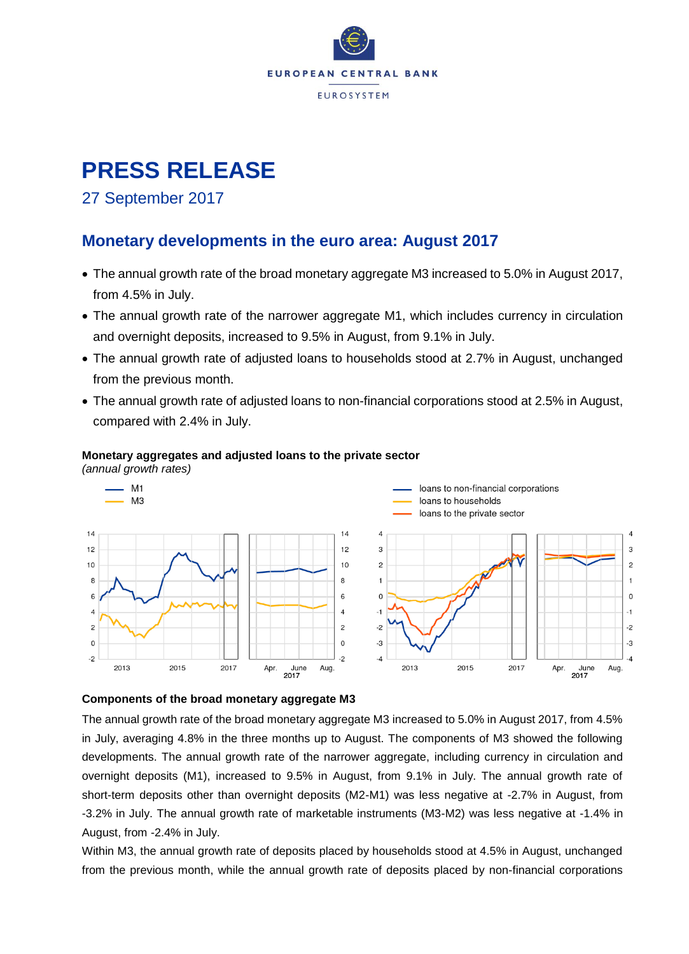

# **PRESS RELEASE**

### 27 September 2017

### **Monetary developments in the euro area: August 2017**

- The annual growth rate of the broad monetary aggregate M3 increased to 5.0% in August 2017, from 4.5% in July.
- The annual growth rate of the narrower aggregate M1, which includes currency in circulation and overnight deposits, increased to 9.5% in August, from 9.1% in July.
- The annual growth rate of adjusted loans to households stood at 2.7% in August, unchanged from the previous month.
- The annual growth rate of adjusted loans to non-financial corporations stood at 2.5% in August, compared with 2.4% in July.

#### **Monetary aggregates and adjusted loans to the private sector**

*(annual growth rates)*



#### **Components of the broad monetary aggregate M3**

The annual growth rate of the broad monetary aggregate M3 increased to 5.0% in August 2017, from 4.5% in July, averaging 4.8% in the three months up to August. The components of M3 showed the following developments. The annual growth rate of the narrower aggregate, including currency in circulation and overnight deposits (M1), increased to 9.5% in August, from 9.1% in July. The annual growth rate of short-term deposits other than overnight deposits (M2-M1) was less negative at -2.7% in August, from -3.2% in July. The annual growth rate of marketable instruments (M3-M2) was less negative at -1.4% in August, from -2.4% in July.

Within M3, the annual growth rate of deposits placed by households stood at 4.5% in August, unchanged from the previous month, while the annual growth rate of deposits placed by non-financial corporations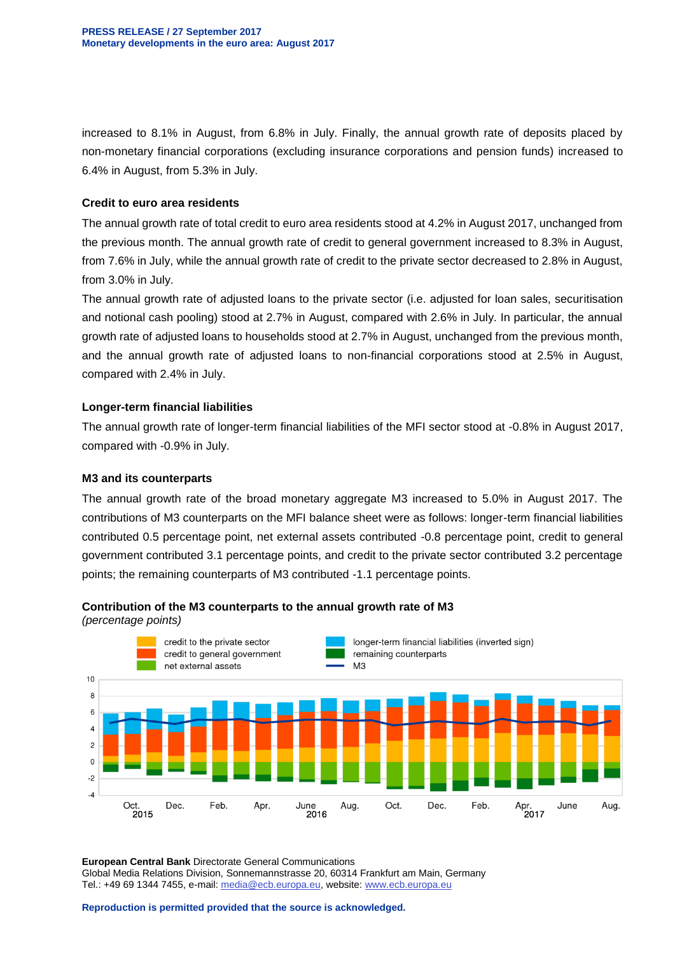increased to 8.1% in August, from 6.8% in July. Finally, the annual growth rate of deposits placed by non-monetary financial corporations (excluding insurance corporations and pension funds) increased to 6.4% in August, from 5.3% in July.

#### **Credit to euro area residents**

The annual growth rate of total credit to euro area residents stood at 4.2% in August 2017, unchanged from the previous month. The annual growth rate of credit to general government increased to 8.3% in August, from 7.6% in July, while the annual growth rate of credit to the private sector decreased to 2.8% in August, from 3.0% in July.

The annual growth rate of adjusted loans to the private sector (i.e. adjusted for loan sales, securitisation and notional cash pooling) stood at 2.7% in August, compared with 2.6% in July. In particular, the annual growth rate of adjusted loans to households stood at 2.7% in August, unchanged from the previous month, and the annual growth rate of adjusted loans to non-financial corporations stood at 2.5% in August, compared with 2.4% in July.

#### **Longer-term financial liabilities**

The annual growth rate of longer-term financial liabilities of the MFI sector stood at -0.8% in August 2017, compared with -0.9% in July.

#### **M3 and its counterparts**

The annual growth rate of the broad monetary aggregate M3 increased to 5.0% in August 2017. The contributions of M3 counterparts on the MFI balance sheet were as follows: longer-term financial liabilities contributed 0.5 percentage point, net external assets contributed -0.8 percentage point, credit to general government contributed 3.1 percentage points, and credit to the private sector contributed 3.2 percentage points; the remaining counterparts of M3 contributed -1.1 percentage points.



**Contribution of the M3 counterparts to the annual growth rate of M3**

*(percentage points)*

**European Central Bank** Directorate General Communications Global Media Relations Division, Sonnemannstrasse 20, 60314 Frankfurt am Main, Germany Tel.: +49 69 1344 7455, e-mail: [media@ecb.europa.eu,](mailto:media@ecb.europa.eu) website[: www.ecb.europa.eu](http://www.ecb.europa.eu/)

**Reproduction is permitted provided that the source is acknowledged.**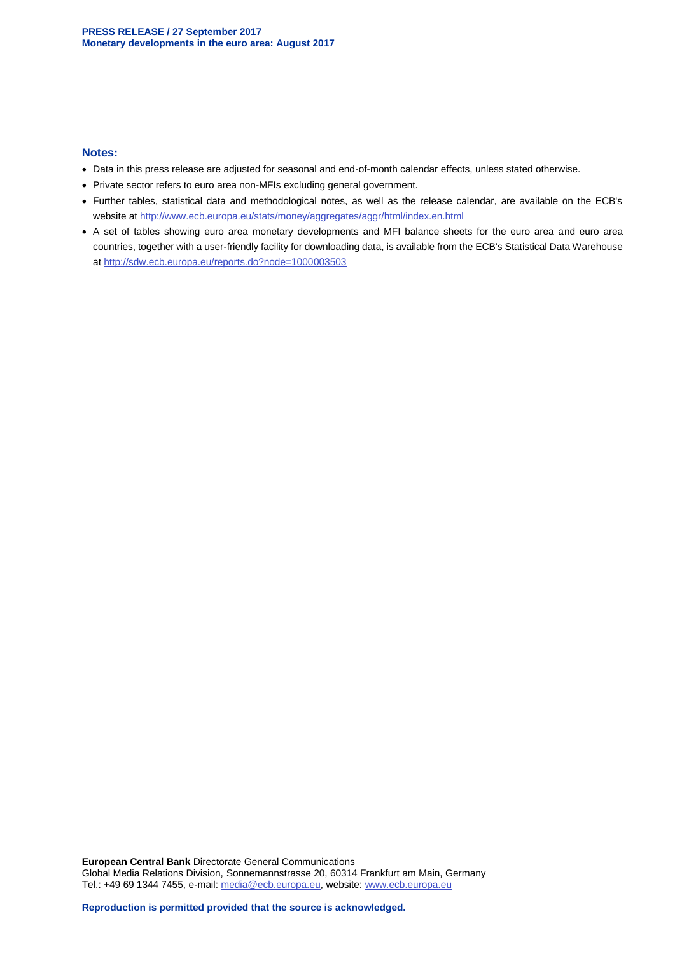#### **Notes:**

- Data in this press release are adjusted for seasonal and end-of-month calendar effects, unless stated otherwise.
- Private sector refers to euro area non-MFIs excluding general government.
- Further tables, statistical data and methodological notes, as well as the release calendar, are available on the ECB's website at<http://www.ecb.europa.eu/stats/money/aggregates/aggr/html/index.en.html>
- A set of tables showing euro area monetary developments and MFI balance sheets for the euro area and euro area countries, together with a user-friendly facility for downloading data, is available from the ECB's Statistical Data Warehouse at<http://sdw.ecb.europa.eu/reports.do?node=1000003503>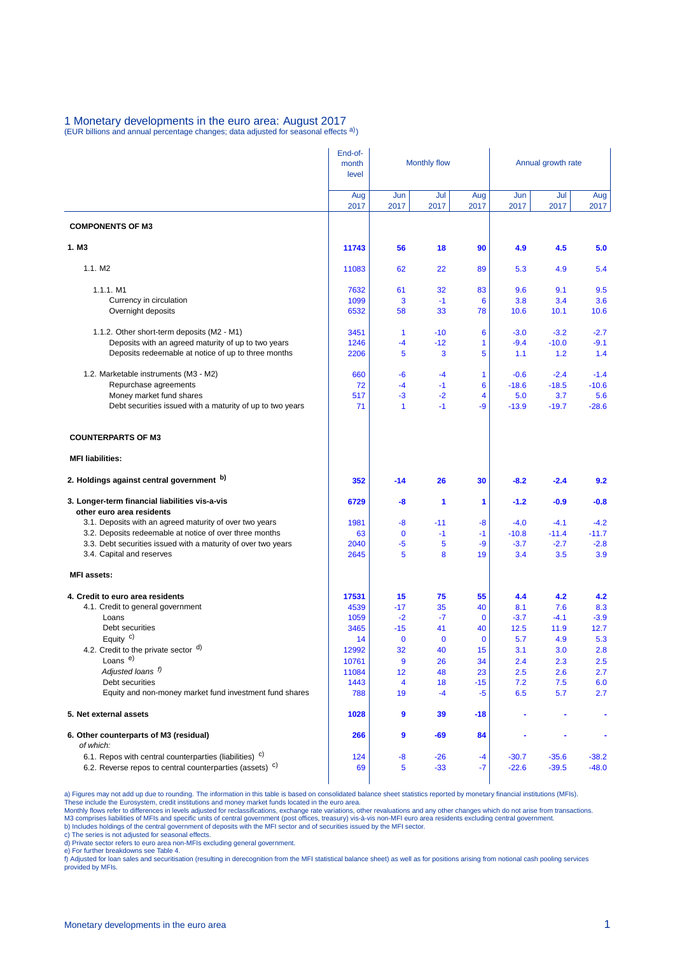#### 1 Monetary developments in the euro area: August 2017 (EUR billions and annual percentage changes; data adjusted for seasonal effects a))

|                                                                             | End-of-<br>month<br>level | <b>Monthly flow</b> |                   |                   | Annual growth rate |             |             |  |
|-----------------------------------------------------------------------------|---------------------------|---------------------|-------------------|-------------------|--------------------|-------------|-------------|--|
|                                                                             | Aug<br>2017               | Jun<br>2017         | Jul<br>2017       | Aug<br>2017       | Jun<br>2017        | Jul<br>2017 | Aug<br>2017 |  |
| <b>COMPONENTS OF M3</b>                                                     |                           |                     |                   |                   |                    |             |             |  |
| 1. M <sub>3</sub>                                                           | 11743                     | 56                  | 18                | 90                | 4.9                | 4.5         | 5.0         |  |
| 1.1. M2                                                                     | 11083                     | 62                  | 22                | 89                | 5.3                | 4.9         | 5.4         |  |
| $1.1.1.$ M1                                                                 | 7632                      | 61                  | 32                | 83                | 9.6                | 9.1         | 9.5         |  |
| Currency in circulation                                                     | 1099                      | 3                   | $-1$              | 6                 | 3.8                | 3.4         | 3.6         |  |
| Overnight deposits                                                          | 6532                      | 58                  | 33                | 78                | 10.6               | 10.1        | 10.6        |  |
| 1.1.2. Other short-term deposits (M2 - M1)                                  | 3451                      | 1                   | $-10$             | 6                 | $-3.0$             | $-3.2$      | $-2.7$      |  |
| Deposits with an agreed maturity of up to two years                         | 1246                      | -4                  | $-12$             | 1                 | $-9.4$             | $-10.0$     | $-9.1$      |  |
| Deposits redeemable at notice of up to three months                         | 2206                      | 5                   | 3                 | 5                 | 1.1                | 1.2         | 1.4         |  |
| 1.2. Marketable instruments (M3 - M2)                                       | 660                       | -6                  | $-4$              | 1                 | $-0.6$             | $-2.4$      | $-1.4$      |  |
| Repurchase agreements                                                       | 72                        | $-4$                | $-1$              | 6                 | $-18.6$            | $-18.5$     | $-10.6$     |  |
| Money market fund shares                                                    | 517                       | -3                  | $-2$              | 4                 | 5.0                | 3.7         | 5.6         |  |
| Debt securities issued with a maturity of up to two years                   | 71                        | $\mathbf{1}$        | $-1$              | -9                | $-13.9$            | $-19.7$     | $-28.6$     |  |
| <b>COUNTERPARTS OF M3</b>                                                   |                           |                     |                   |                   |                    |             |             |  |
| <b>MFI liabilities:</b>                                                     |                           |                     |                   |                   |                    |             |             |  |
| 2. Holdings against central government b)                                   | 352                       | $-14$               | 26                | 30                | $-8.2$             | $-2.4$      | 9.2         |  |
| 3. Longer-term financial liabilities vis-a-vis<br>other euro area residents | 6729                      | -8                  | 1                 | 1                 | $-1.2$             | $-0.9$      | $-0.8$      |  |
| 3.1. Deposits with an agreed maturity of over two years                     | 1981                      | -8                  | $-11$             | -8                | $-4.0$             | $-4.1$      | $-4.2$      |  |
| 3.2. Deposits redeemable at notice of over three months                     | 63                        | $\mathbf 0$         | $-1$              | $-1$              | $-10.8$            | $-11.4$     | $-11.7$     |  |
| 3.3. Debt securities issued with a maturity of over two years               | 2040                      | -5                  | 5                 | -9                | $-3.7$             | $-2.7$      | $-2.8$      |  |
| 3.4. Capital and reserves                                                   | 2645                      | 5                   | 8                 | 19                | 3.4                | 3.5         | 3.9         |  |
| <b>MFI</b> assets:                                                          |                           |                     |                   |                   |                    |             |             |  |
| 4. Credit to euro area residents                                            | 17531                     | 15                  | 75                | 55                | 4.4                | 4.2         | 4.2         |  |
| 4.1. Credit to general government                                           | 4539                      | $-17$               | 35                | 40                | 8.1                | 7.6         | 8.3         |  |
| Loans                                                                       | 1059                      | $-2$                | $-7$              | $\mathbf 0$       | $-3.7$             | $-4.1$      | $-3.9$      |  |
| Debt securities                                                             | 3465                      | $-15$               | 41                | 40                | 12.5               | 11.9        | 12.7        |  |
| Equity $c$ )<br>4.2. Credit to the private sector $\mathsf{d}$ )            | 14<br>12992               | $\mathbf 0$<br>32   | $\mathbf 0$<br>40 | $\mathbf 0$<br>15 | 5.7<br>3.1         | 4.9<br>3.0  | 5.3<br>2.8  |  |
| Loans <sup>e)</sup>                                                         | 10761                     | 9                   | 26                | 34                | 2.4                | 2.3         | 2.5         |  |
| Adjusted loans f)                                                           | 11084                     | 12                  | 48                | 23                | 2.5                | 2.6         | 2.7         |  |
| Debt securities                                                             | 1443                      | 4                   | 18                | $-15$             | 7.2                | 7.5         | 6.0         |  |
| Equity and non-money market fund investment fund shares                     | 788                       | 19                  | $-4$              | $-5$              | 6.5                | 5.7         | 2.7         |  |
| 5. Net external assets                                                      | 1028                      | 9                   | 39                | -18               |                    |             |             |  |
| 6. Other counterparts of M3 (residual)<br>of which:                         | 266                       | 9                   | -69               | 84                |                    |             |             |  |
| 6.1. Repos with central counterparties (liabilities) <sup>c)</sup>          | 124                       | $-8$                | $-26$             | -4                | $-30.7$            | $-35.6$     | $-38.2$     |  |
| 6.2. Reverse repos to central counterparties (assets) <sup>c)</sup>         | 69                        | 5                   | $-33$             | -7                | $-22.6$            | $-39.5$     | $-48.0$     |  |

a) Figures may not add up due to rounding. The information in this table is based on consolidated balance sheet statistics reported by monetary financial institutions (MFIs).<br>These include the Eurosystem, credit institutio

c) The series is not adjusted for seasonal effects. d) Private sector refers to euro area non-MFIs excluding general government.

e) For further breakdowns see Table 4.<br>f) Adjusted for loan sales and securitisation (resulting in derecognition from the MFI statistical balance sheet) as well as for positions arising from notional cash pooling services provided by MFIs.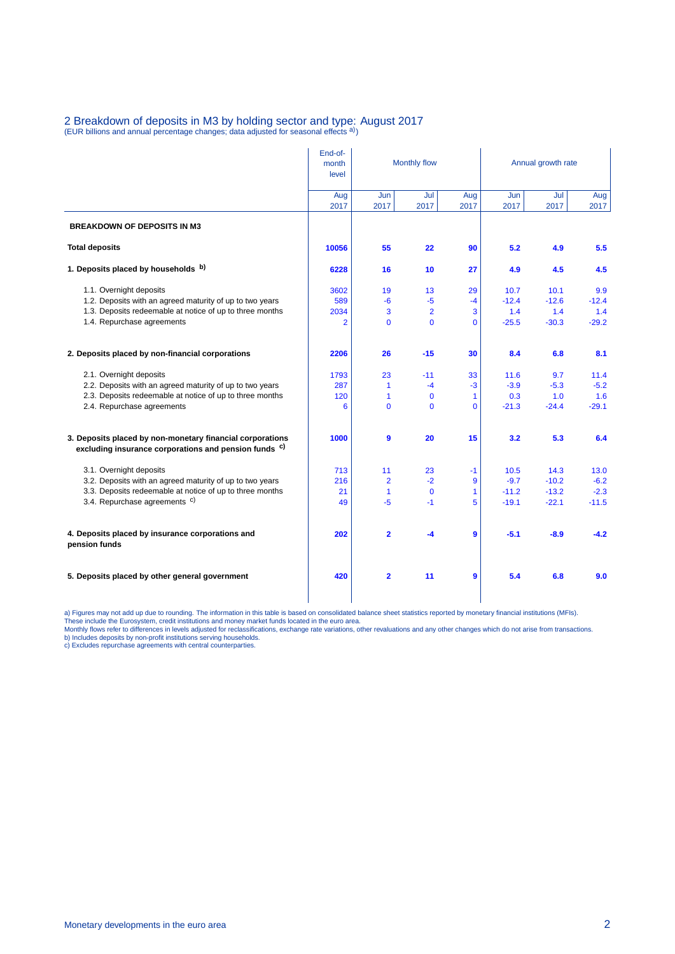### 2 Breakdown of deposits in M3 by holding sector and type: August 2017<br>(EUR billions and annual percentage changes; data adjusted for seasonal effects <sup>a)</sup>)

|                                                                                                                               | End-of-<br>month<br>level | Monthly flow            |                |             | Annual growth rate |             |             |  |
|-------------------------------------------------------------------------------------------------------------------------------|---------------------------|-------------------------|----------------|-------------|--------------------|-------------|-------------|--|
|                                                                                                                               | Aug<br>2017               | Jun<br>2017             | Jul<br>2017    | Aug<br>2017 | Jun<br>2017        | Jul<br>2017 | Aug<br>2017 |  |
| <b>BREAKDOWN OF DEPOSITS IN M3</b>                                                                                            |                           |                         |                |             |                    |             |             |  |
| <b>Total deposits</b>                                                                                                         | 10056                     | 55                      | 22             | 90          | 5.2                | 4.9         | 5.5         |  |
| 1. Deposits placed by households b)                                                                                           | 6228                      | 16                      | 10             | 27          | 4.9                | 4.5         | 4.5         |  |
| 1.1. Overnight deposits                                                                                                       | 3602                      | 19                      | 13             | 29          | 10.7               | 10.1        | 9.9         |  |
| 1.2. Deposits with an agreed maturity of up to two years                                                                      | 589                       | $-6$                    | $-5$           | $-4$        | $-12.4$            | $-12.6$     | $-12.4$     |  |
| 1.3. Deposits redeemable at notice of up to three months                                                                      | 2034                      | 3                       | $\overline{2}$ | 3           | 1.4                | 1.4         | 1.4         |  |
| 1.4. Repurchase agreements                                                                                                    | $\overline{2}$            | $\mathbf{0}$            | $\mathbf 0$    | $\Omega$    | $-25.5$            | $-30.3$     | $-29.2$     |  |
| 2. Deposits placed by non-financial corporations                                                                              | 2206                      | 26                      | $-15$          | 30          | 8.4                | 6.8         | 8.1         |  |
| 2.1. Overnight deposits                                                                                                       | 1793                      | 23                      | $-11$          | 33          | 11.6               | 9.7         | 11.4        |  |
| 2.2. Deposits with an agreed maturity of up to two years                                                                      | 287                       | $\mathbf{1}$            | $-4$           | $-3$        | $-3.9$             | $-5.3$      | $-5.2$      |  |
| 2.3. Deposits redeemable at notice of up to three months                                                                      | 120                       | 1                       | $\mathbf 0$    | 1           | 0.3                | 1.0         | 1.6         |  |
| 2.4. Repurchase agreements                                                                                                    | 6                         | $\mathbf 0$             | $\mathbf 0$    | $\Omega$    | $-21.3$            | $-24.4$     | $-29.1$     |  |
| 3. Deposits placed by non-monetary financial corporations<br>excluding insurance corporations and pension funds <sup>c)</sup> | 1000                      | 9                       | 20             | 15          | 3.2                | 5.3         | 6.4         |  |
| 3.1. Overnight deposits                                                                                                       | 713                       | 11                      | 23             | $-1$        | 10.5               | 14.3        | 13.0        |  |
| 3.2. Deposits with an agreed maturity of up to two years                                                                      | 216                       | $\overline{2}$          | $-2$           | 9           | $-9.7$             | $-10.2$     | $-6.2$      |  |
| 3.3. Deposits redeemable at notice of up to three months                                                                      | 21                        | $\mathbf{1}$            | $\mathbf 0$    | 1           | $-11.2$            | $-13.2$     | $-2.3$      |  |
| 3.4. Repurchase agreements <sup>c)</sup>                                                                                      | 49                        | $-5$                    | $-1$           | 5           | $-19.1$            | $-22.1$     | $-11.5$     |  |
| 4. Deposits placed by insurance corporations and<br>pension funds                                                             | 202                       | $\overline{2}$          | $-4$           | 9           | $-5.1$             | $-8.9$      | $-4.2$      |  |
| 5. Deposits placed by other general government                                                                                | 420                       | $\overline{\mathbf{2}}$ | 11             | 9           | 5.4                | 6.8         | 9.0         |  |

a) Figures may not add up due to rounding. The information in this table is based on consolidated balance sheet statistics reported by monetary financial institutions (MFIs).<br>These include the Eurosystem, credit institutio